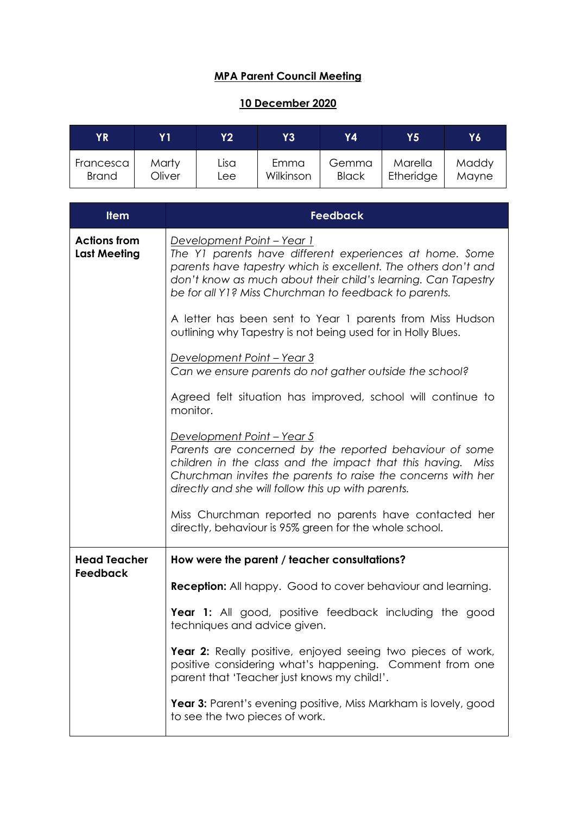## **MPA Parent Council Meeting**

## **10 December 2020**

| ΥR           | Y 1    | Y2   | Y3        | Υ4           | Y5        | Y6'   |
|--------------|--------|------|-----------|--------------|-----------|-------|
| Francesca    | Marty  | Lisa | Emma      | Gemma        | Marella   | Maddy |
| <b>Brand</b> | Oliver | Lee  | Wilkinson | <b>Black</b> | Etheridge | Mayne |

| <b>Item</b>                                | <b>Feedback</b>                                                                                                                                                                                                                                                                    |
|--------------------------------------------|------------------------------------------------------------------------------------------------------------------------------------------------------------------------------------------------------------------------------------------------------------------------------------|
| <b>Actions from</b><br><b>Last Meeting</b> | Development Point - Year 1<br>The Y1 parents have different experiences at home. Some<br>parents have tapestry which is excellent. The others don't and<br>don't know as much about their child's learning. Can Tapestry<br>be for all Y1? Miss Churchman to feedback to parents.  |
|                                            | A letter has been sent to Year 1 parents from Miss Hudson<br>outlining why Tapestry is not being used for in Holly Blues.                                                                                                                                                          |
|                                            | <u> Development Point – Year 3</u><br>Can we ensure parents do not gather outside the school?                                                                                                                                                                                      |
|                                            | Agreed felt situation has improved, school will continue to<br>monitor.                                                                                                                                                                                                            |
|                                            | <u> Development Point – Year 5</u><br>Parents are concerned by the reported behaviour of some<br>children in the class and the impact that this having. Miss<br>Churchman invites the parents to raise the concerns with her<br>directly and she will follow this up with parents. |
|                                            | Miss Churchman reported no parents have contacted her<br>directly, behaviour is 95% green for the whole school.                                                                                                                                                                    |
| <b>Head Teacher</b>                        | How were the parent / teacher consultations?                                                                                                                                                                                                                                       |
| Feedback                                   | <b>Reception:</b> All happy. Good to cover behaviour and learning.                                                                                                                                                                                                                 |
|                                            | Year 1: All good, positive feedback including the good<br>techniques and advice given.                                                                                                                                                                                             |
|                                            | Year 2: Really positive, enjoyed seeing two pieces of work,<br>positive considering what's happening. Comment from one<br>parent that 'Teacher just knows my child!'.                                                                                                              |
|                                            | Year 3: Parent's evening positive, Miss Markham is lovely, good<br>to see the two pieces of work.                                                                                                                                                                                  |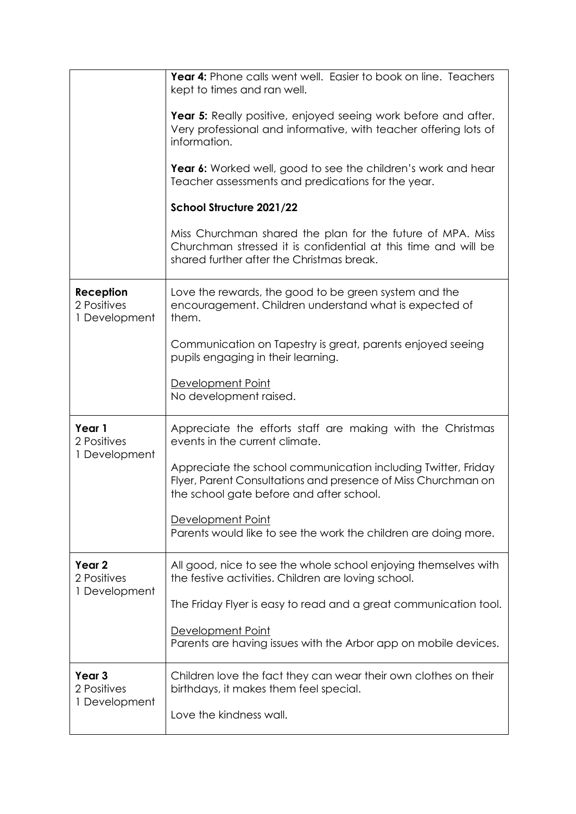|                                                   | Year 4: Phone calls went well. Easier to book on line. Teachers<br>kept to times and ran well.                                                                             |  |  |  |  |
|---------------------------------------------------|----------------------------------------------------------------------------------------------------------------------------------------------------------------------------|--|--|--|--|
|                                                   | Year 5: Really positive, enjoyed seeing work before and after.<br>Very professional and informative, with teacher offering lots of<br>information.                         |  |  |  |  |
|                                                   | Year 6: Worked well, good to see the children's work and hear<br>Teacher assessments and predications for the year.                                                        |  |  |  |  |
|                                                   | School Structure 2021/22                                                                                                                                                   |  |  |  |  |
|                                                   | Miss Churchman shared the plan for the future of MPA. Miss<br>Churchman stressed it is confidential at this time and will be<br>shared further after the Christmas break.  |  |  |  |  |
| Reception<br>2 Positives<br>1 Development         | Love the rewards, the good to be green system and the<br>encouragement. Children understand what is expected of<br>them.                                                   |  |  |  |  |
|                                                   | Communication on Tapestry is great, parents enjoyed seeing<br>pupils engaging in their learning.                                                                           |  |  |  |  |
|                                                   | Development Point<br>No development raised.                                                                                                                                |  |  |  |  |
| Year 1<br>2 Positives<br>1 Development            | Appreciate the efforts staff are making with the Christmas<br>events in the current climate.                                                                               |  |  |  |  |
|                                                   | Appreciate the school communication including Twitter, Friday<br>Flyer, Parent Consultations and presence of Miss Churchman on<br>the school gate before and after school. |  |  |  |  |
|                                                   | Development Point<br>Parents would like to see the work the children are doing more.                                                                                       |  |  |  |  |
| Year <sub>2</sub><br>2 Positives<br>1 Development | All good, nice to see the whole school enjoying themselves with<br>the festive activities. Children are loving school.                                                     |  |  |  |  |
|                                                   | The Friday Flyer is easy to read and a great communication tool.                                                                                                           |  |  |  |  |
|                                                   | Development Point<br>Parents are having issues with the Arbor app on mobile devices.                                                                                       |  |  |  |  |
| Year <sub>3</sub><br>2 Positives<br>1 Development | Children love the fact they can wear their own clothes on their<br>birthdays, it makes them feel special.                                                                  |  |  |  |  |
|                                                   | Love the kindness wall.                                                                                                                                                    |  |  |  |  |